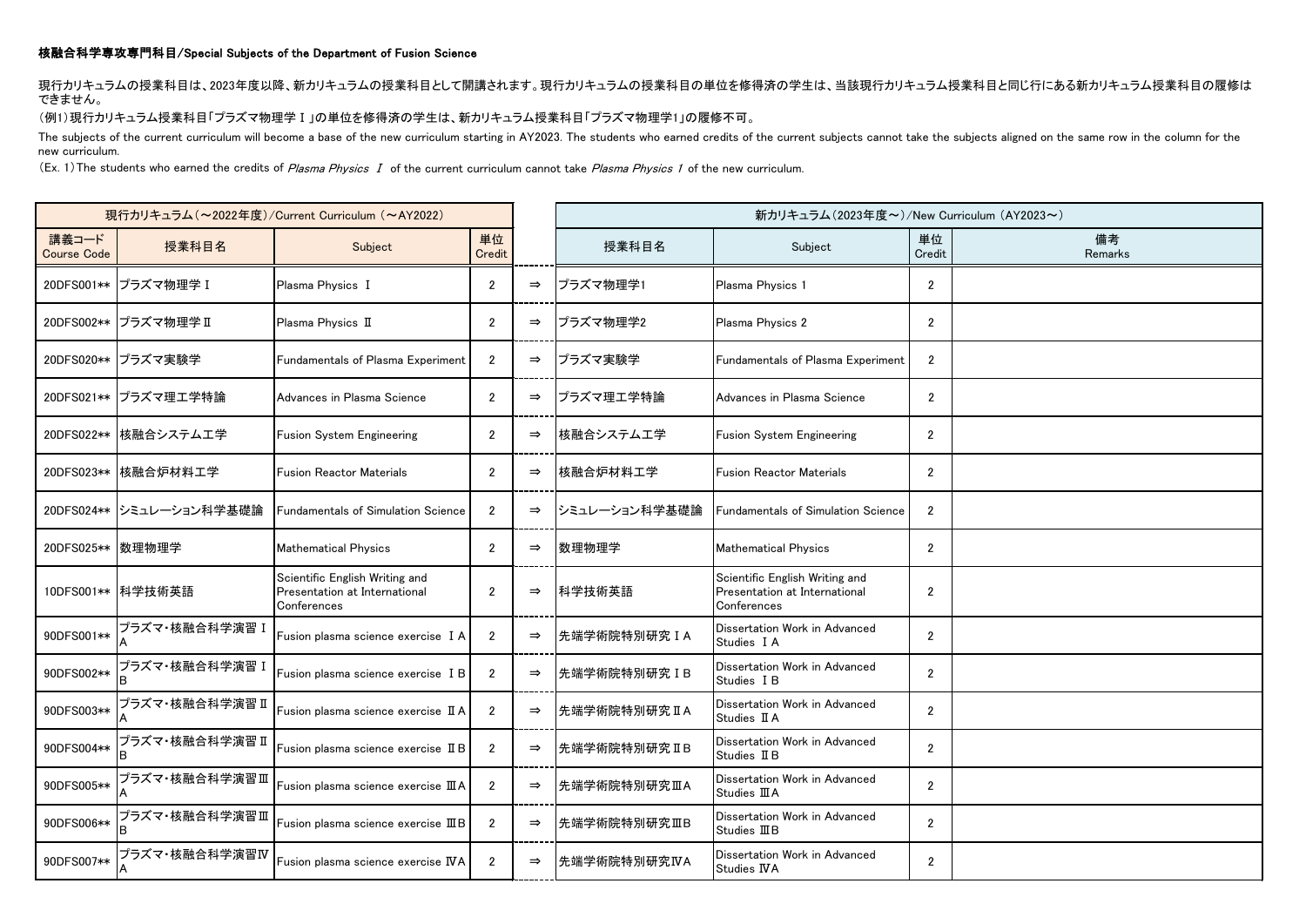## 核融合科学専攻専門科目/Special Subjects of the Department of Fusion Science

現行カリキュラムの授業科目は、2023年度以降、新カリキュラムの授業科目として開講されます。現行カリキュラムの授業科目の単位を修得済の学生は、当該現行カリキュラム授業科目と同じ行にある新カリキュラム授業科目の履修は できません。

(例1)現行カリキュラム授業科目「プラズマ物理学Ⅰ」の単位を修得済の学生は、新カリキュラム授業科目「プラズマ物理学1」の履修不可。

The subjects of the current curriculum will become a base of the new curriculum starting in AY2023. The students who earned credits of the current subjects cannot take the subjects aligned on the same row in the column for new curriculum.

(Ex. 1) The students who earned the credits of Plasma Physics I of the current curriculum cannot take Plasma Physics 1 of the new curriculum.

| 現行カリキュラム (~2022年度)/Current Curriculum (~AY2022) |                          |                                                                                |                |               | 新カリキュラム(2023年度~)/New Curriculum (AY2023~) |                                                                                |                |               |
|-------------------------------------------------|--------------------------|--------------------------------------------------------------------------------|----------------|---------------|-------------------------------------------|--------------------------------------------------------------------------------|----------------|---------------|
| 講義コード<br><b>Course Code</b>                     | 授業科目名                    | Subject                                                                        | 単位<br>Credit   |               | 授業科目名                                     | Subject                                                                        | 単位<br>Credit   | 備考<br>Remarks |
|                                                 | 20DFS001** プラズマ物理学 I     | Plasma Physics I                                                               | $\overline{2}$ | $\Rightarrow$ | プラズマ物理学1                                  | Plasma Physics 1                                                               | $\overline{2}$ |               |
|                                                 | 20DFS002** プラズマ物理学 II    | Plasma Physics II                                                              | $\overline{2}$ | $\Rightarrow$ | プラズマ物理学2                                  | Plasma Physics 2                                                               | $\overline{2}$ |               |
|                                                 | 20DFS020** プラズマ実験学       | Fundamentals of Plasma Experiment                                              | $\overline{2}$ | $\Rightarrow$ | プラズマ実験学                                   | Fundamentals of Plasma Experiment                                              | $\overline{2}$ |               |
|                                                 | 20DFS021** プラズマ理工学特論     | Advances in Plasma Science                                                     | $\overline{2}$ | $\Rightarrow$ | プラズマ理工学特論                                 | Advances in Plasma Science                                                     | $\overline{2}$ |               |
|                                                 | 20DFS022** 核融合システム工学     | <b>Fusion System Engineering</b>                                               | $\overline{2}$ | $\Rightarrow$ | 核融合システム工学                                 | <b>Fusion System Engineering</b>                                               | $\mathbf{2}$   |               |
|                                                 | 20DFS023** 核融合炉材料工学      | <b>Fusion Reactor Materials</b>                                                | $\overline{2}$ | $\Rightarrow$ | 核融合炉材料工学                                  | <b>Fusion Reactor Materials</b>                                                | $\overline{2}$ |               |
|                                                 | 20DFS024** シミュレーション科学基礎論 | <b>Fundamentals of Simulation Science</b>                                      | $\overline{2}$ | $\Rightarrow$ | シミュレーション科学基礎論                             | <b>Fundamentals of Simulation Science</b>                                      | $\overline{2}$ |               |
| 20DFS025** 数理物理学                                |                          | <b>Mathematical Physics</b>                                                    | $\overline{2}$ | $\Rightarrow$ | 数理物理学                                     | <b>Mathematical Physics</b>                                                    | $\overline{2}$ |               |
|                                                 | 10DFS001** 科学技術英語        | Scientific English Writing and<br>Presentation at International<br>Conferences | $\overline{2}$ | $\Rightarrow$ | 科学技術英語                                    | Scientific English Writing and<br>Presentation at International<br>Conferences | $\overline{2}$ |               |
| 90DFS001**                                      | プラズマ・核融合科学演習 I           | Fusion plasma science exercise I A                                             | $\overline{2}$ | $\Rightarrow$ | 先端学術院特別研究 I A                             | Dissertation Work in Advanced<br>Studies I A                                   | $\overline{2}$ |               |
| 90DFS002**                                      | プラズマ・核融合科学演習 I           | Fusion plasma science exercise I B                                             | $\overline{2}$ | $\Rightarrow$ | 先端学術院特別研究 IB                              | Dissertation Work in Advanced<br>Studies I B                                   | $\overline{2}$ |               |
| 90DFS003**                                      | プラズマ・核融合科学演習 Ⅱ           | Fusion plasma science exercise II A                                            | $\mathfrak{p}$ | $\Rightarrow$ | 先端学術院特別研究 IIA                             | Dissertation Work in Advanced<br>Studies II A                                  | $\mathbf{2}$   |               |
| 90DFS004**                                      | プラズマ・核融合科学演習 Ⅱ           | Fusion plasma science exercise II B                                            | $\overline{2}$ | $\Rightarrow$ | 先端学術院特別研究ⅡB                               | Dissertation Work in Advanced<br>Studies II B                                  | $\mathbf{2}$   |               |
| 90DFS005**                                      | プラズマ・核融合科学演習Ⅲ            | Fusion plasma science exercise IIIA                                            | $\overline{2}$ | $\Rightarrow$ | 先端学術院特別研究ⅢA                               | Dissertation Work in Advanced<br>Studies <b>III</b> A                          | $\overline{2}$ |               |
| 90DFS006**                                      | プラズマ・核融合科学演習Ⅲ            | Fusion plasma science exercise IIIB                                            | $\overline{2}$ | $\Rightarrow$ | 先端学術院特別研究ⅢB                               | Dissertation Work in Advanced<br>Studies <b>III</b> B                          | $\overline{2}$ |               |
| 90DFS007**                                      | プラズマ・核融合科学演習IV           | Fusion plasma science exercise IVA                                             | $\overline{2}$ | $\Rightarrow$ | 先端学術院特別研究IVA                              | Dissertation Work in Advanced<br>Studies IVA                                   | $\overline{2}$ |               |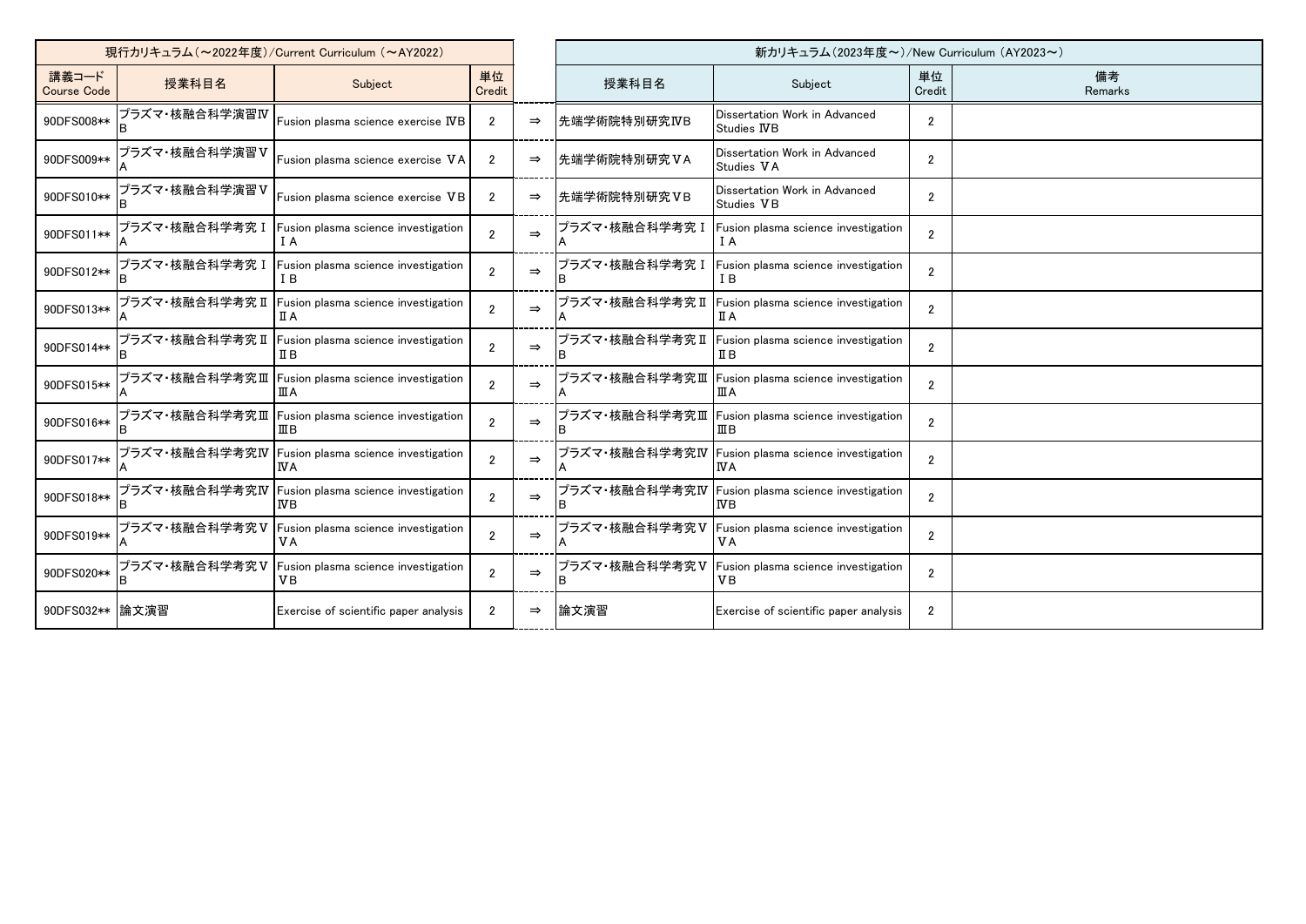| 現行カリキュラム (~2022年度)/Current Curriculum (~AY2022) |                |                                                          |                |               | 新カリキュラム (2023年度~)/New Curriculum (AY2023~) |                                                          |                |               |
|-------------------------------------------------|----------------|----------------------------------------------------------|----------------|---------------|--------------------------------------------|----------------------------------------------------------|----------------|---------------|
| 講義コード<br><b>Course Code</b>                     | 授業科目名          | Subject                                                  | 単位<br>Credit   |               | 授業科目名                                      | Subject                                                  | 単位<br>Credit   | 備考<br>Remarks |
| 90DFS008**                                      | プラズマ・核融合科学演習IV | Fusion plasma science exercise $\operatorname{WB}$       | $\mathfrak{p}$ | $\Rightarrow$ | 先端学術院特別研究IVB                               | Dissertation Work in Advanced<br>Studies IVB             | $\overline{2}$ |               |
| 90DFS009**                                      | プラズマ・核融合科学演習V  | Fusion plasma science exercise VA                        | $\overline{2}$ | $\Rightarrow$ | 先端学術院特別研究VA                                | Dissertation Work in Advanced<br>Studies VA              | $\overline{2}$ |               |
| 90DFS010**                                      | プラズマ・核融合科学演習V  | Fusion plasma science exercise VB                        | $\overline{2}$ | $\Rightarrow$ | 先端学術院特別研究VB                                | Dissertation Work in Advanced<br>Studies VB              | $\overline{2}$ |               |
| 90DFS011**                                      | プラズマ・核融合科学考究 I | Fusion plasma science investigation<br>ΙA                |                | $\Rightarrow$ | プラズマ・核融合科学考究 I                             | Fusion plasma science investigation<br>I A               | $\mathfrak{p}$ |               |
| 90DFS012**                                      | プラズマ・核融合科学考究 I | Fusion plasma science investigation<br>I B               | 2              | $\Rightarrow$ | プラズマ・核融合科学考究 I                             | Fusion plasma science investigation<br>T B               | $\mathfrak{p}$ |               |
| 90DFS013**                                      | プラズマ・核融合科学考究Ⅱ  | Fusion plasma science investigation<br>ΠA                | $\mathfrak{p}$ | $\Rightarrow$ | プラズマ・核融合科学考究Ⅱ                              | Fusion plasma science investigation<br>ПA                | $\overline{2}$ |               |
| 90DFS014**                                      | プラズマ・核融合科学考究 Ⅱ | Fusion plasma science investigation<br>ΠВ                | $\mathfrak{p}$ | $\Rightarrow$ | プラズマ・核融合科学考究 Ⅱ                             | Fusion plasma science investigation<br>ΠВ                | $\overline{2}$ |               |
| 90DFS015**                                      |                | プラズマ・核融合科学考究Ⅲ  Fusion plasma science investigation<br>ШA | $\mathfrak{p}$ | $\Rightarrow$ |                                            | プラズマ・核融合科学考究Ⅲ  Fusion plasma science investigation<br>ШA | $\overline{2}$ |               |
| 90DFS016**                                      | プラズマ・核融合科学考究Ⅲ  | Fusion plasma science investigation<br>ШΒ                | 2              | $\Rightarrow$ | プラズマ・核融合科学考究Ⅲ                              | Fusion plasma science investigation<br>ΠB                | $\mathfrak{p}$ |               |
| 90DFS017**                                      | プラズマ・核融合科学考究IV | Fusion plasma science investigation<br>IVΑ               | $\mathfrak{p}$ | $\Rightarrow$ | プラズマ・核融合科学考究IV                             | Fusion plasma science investigation<br>IVΑ.              | $\overline{2}$ |               |
| 90DFS018**                                      | プラズマ·核融合科学考究IV | Fusion plasma science investigation                      | $\mathfrak{p}$ | $\Rightarrow$ | プラズマ・核融合科学考究IV                             | Fusion plasma science investigation<br>ΝB                | $\overline{2}$ |               |
| 90DFS019**                                      | プラズマ・核融合科学考究V  | Fusion plasma science investigation<br>VА                | $\mathfrak{p}$ | $\Rightarrow$ | プラズマ・核融合科学考究V                              | Fusion plasma science investigation<br>V A               | $\mathfrak{p}$ |               |
| 90DFS020**                                      | プラズマ・核融合科学考究V  | Fusion plasma science investigation<br>VВ                | $\overline{2}$ | $\Rightarrow$ | プラズマ・核融合科学考究V                              | Fusion plasma science investigation<br>V <sub>B</sub>    | $\mathfrak{p}$ |               |
| 90DFS032**   論文演習                               |                | Exercise of scientific paper analysis                    | $\overline{2}$ | $\Rightarrow$ | 論文演習                                       | Exercise of scientific paper analysis                    | $\overline{2}$ |               |